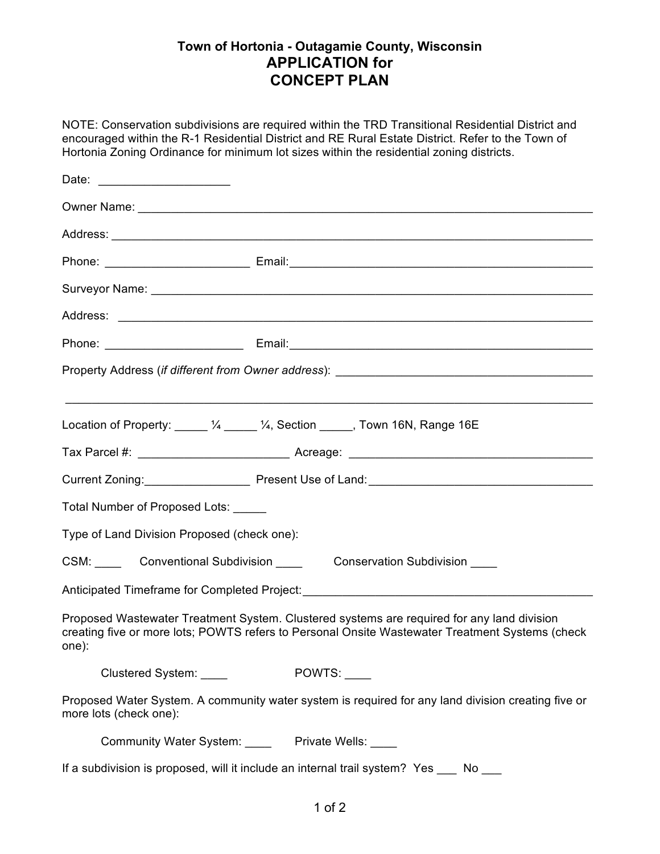## **Town of Hortonia - Outagamie County, Wisconsin APPLICATION for CONCEPT PLAN**

NOTE: Conservation subdivisions are required within the TRD Transitional Residential District and encouraged within the R-1 Residential District and RE Rural Estate District. Refer to the Town of Hortonia Zoning Ordinance for minimum lot sizes within the residential zoning districts.

| Date: ________________________                                                         |                                                                                                                                                                                               |  |
|----------------------------------------------------------------------------------------|-----------------------------------------------------------------------------------------------------------------------------------------------------------------------------------------------|--|
|                                                                                        |                                                                                                                                                                                               |  |
|                                                                                        |                                                                                                                                                                                               |  |
|                                                                                        |                                                                                                                                                                                               |  |
|                                                                                        |                                                                                                                                                                                               |  |
|                                                                                        |                                                                                                                                                                                               |  |
|                                                                                        |                                                                                                                                                                                               |  |
|                                                                                        |                                                                                                                                                                                               |  |
|                                                                                        | ,我们也不能在这里的人,我们也不能在这里的人,我们也不能在这里的人,我们也不能在这里的人,我们也不能在这里的人,我们也不能在这里的人,我们也不能在这里的人,我们也                                                                                                             |  |
|                                                                                        | Location of Property: 4 _____ 1/4, Section _____, Town 16N, Range 16E                                                                                                                         |  |
|                                                                                        |                                                                                                                                                                                               |  |
|                                                                                        | Current Zoning: Present Use of Land: Current Zoning:                                                                                                                                          |  |
| Total Number of Proposed Lots: _____                                                   |                                                                                                                                                                                               |  |
| Type of Land Division Proposed (check one):                                            |                                                                                                                                                                                               |  |
| CSM: Conventional Subdivision Conservation Subdivision CSM:                            |                                                                                                                                                                                               |  |
| Anticipated Timeframe for Completed Project: ___________________________________       |                                                                                                                                                                                               |  |
| one):                                                                                  | Proposed Wastewater Treatment System. Clustered systems are required for any land division<br>creating five or more lots; POWTS refers to Personal Onsite Wastewater Treatment Systems (check |  |
| Clustered System: ____                                                                 | POWTS:                                                                                                                                                                                        |  |
| more lots (check one):                                                                 | Proposed Water System. A community water system is required for any land division creating five or                                                                                            |  |
|                                                                                        | Community Water System: Private Wells: ____                                                                                                                                                   |  |
| If a subdivision is proposed, will it include an internal trail system? Yes ___ No ___ |                                                                                                                                                                                               |  |